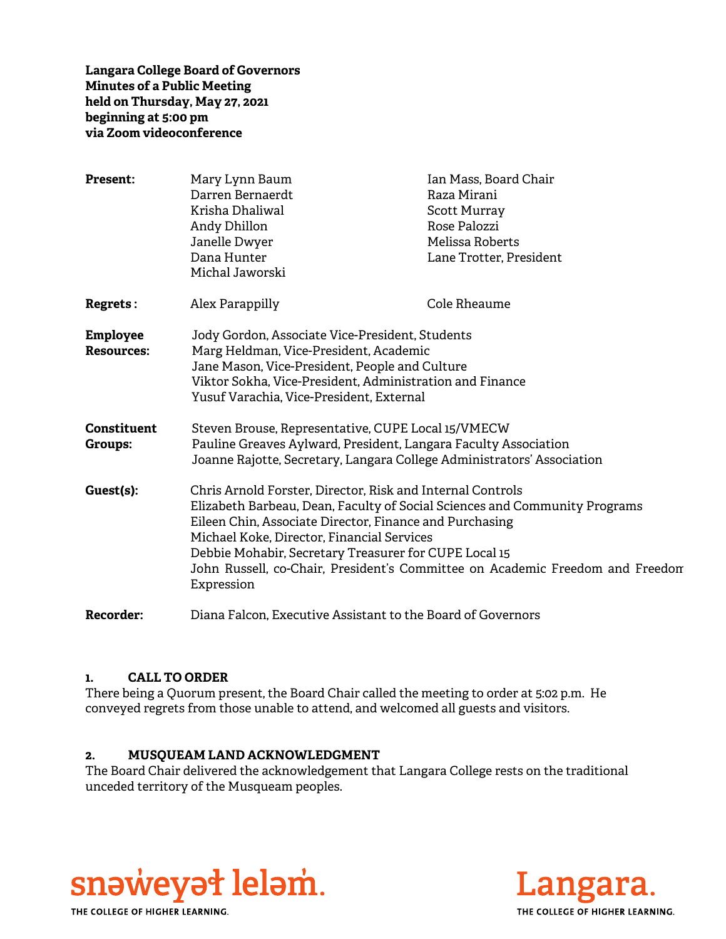**Langara College Board of Governors Minutes of a Public Meeting held on Thursday, May 27, 2021 beginning at 5:00 pm via Zoom videoconference** 

| <b>Present:</b>    | Mary Lynn Baum                                                                              | Ian Mass, Board Chair   |
|--------------------|---------------------------------------------------------------------------------------------|-------------------------|
|                    | Darren Bernaerdt                                                                            | Raza Mirani             |
|                    | Krisha Dhaliwal                                                                             | <b>Scott Murray</b>     |
|                    | Andy Dhillon                                                                                | Rose Palozzi            |
|                    | Janelle Dwyer                                                                               | Melissa Roberts         |
|                    | Dana Hunter                                                                                 | Lane Trotter, President |
|                    | Michal Jaworski                                                                             |                         |
| Regrets:           | Alex Parappilly                                                                             | Cole Rheaume            |
| <b>Employee</b>    | Jody Gordon, Associate Vice-President, Students                                             |                         |
| <b>Resources:</b>  | Marg Heldman, Vice-President, Academic                                                      |                         |
|                    | Jane Mason, Vice-President, People and Culture                                              |                         |
|                    | Viktor Sokha, Vice-President, Administration and Finance                                    |                         |
|                    | Yusuf Varachia, Vice-President, External                                                    |                         |
| <b>Constituent</b> | Steven Brouse, Representative, CUPE Local 15/VMECW                                          |                         |
| <b>Groups:</b>     | Pauline Greaves Aylward, President, Langara Faculty Association                             |                         |
|                    | Joanne Rajotte, Secretary, Langara College Administrators' Association                      |                         |
| Guest(s):          | Chris Arnold Forster, Director, Risk and Internal Controls                                  |                         |
|                    | Elizabeth Barbeau, Dean, Faculty of Social Sciences and Community Programs                  |                         |
|                    | Eileen Chin, Associate Director, Finance and Purchasing                                     |                         |
|                    | Michael Koke, Director, Financial Services                                                  |                         |
|                    | Debbie Mohabir, Secretary Treasurer for CUPE Local 15                                       |                         |
|                    | John Russell, co-Chair, President's Committee on Academic Freedom and Freedon<br>Expression |                         |
| <b>Recorder:</b>   | Diana Falcon, Executive Assistant to the Board of Governors                                 |                         |

#### **1. CALL TO ORDER**

There being a Quorum present, the Board Chair called the meeting to order at 5:02 p.m. He conveyed regrets from those unable to attend, and welcomed all guests and visitors.

#### **2. MUSQUEAM LAND ACKNOWLEDGMENT**

The Board Chair delivered the acknowledgement that Langara College rests on the traditional unceded territory of the Musqueam peoples.



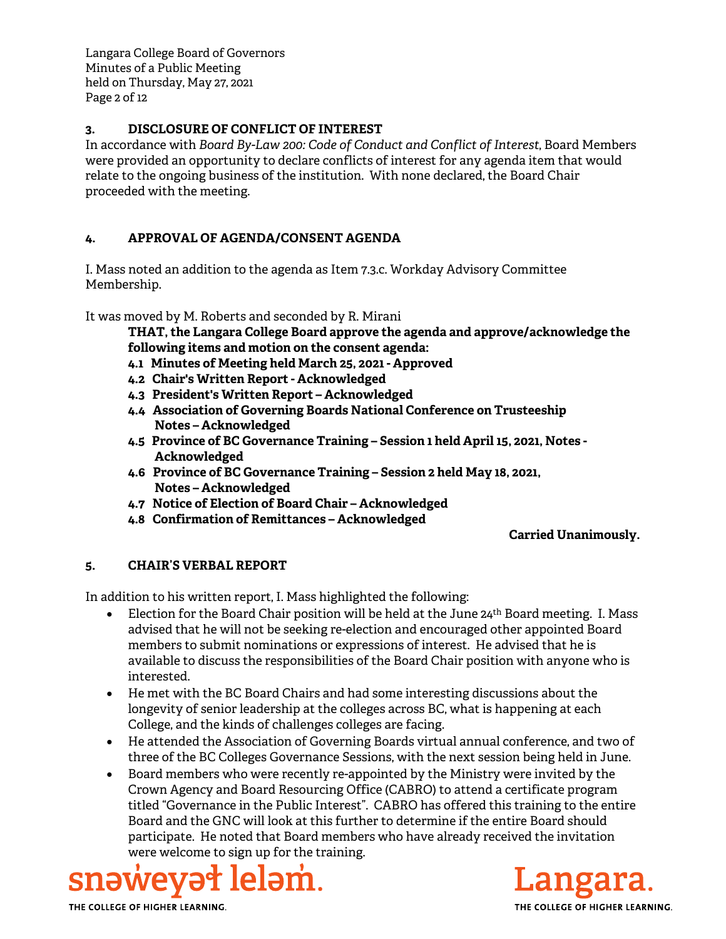Langara College Board of Governors Minutes of a Public Meeting held on Thursday, May 27, 2021 Page 2 of 12

## **3. DISCLOSURE OF CONFLICT OF INTEREST**

In accordance with *Board By-Law 200: Code of Conduct and Conflict of Interest*, Board Members were provided an opportunity to declare conflicts of interest for any agenda item that would relate to the ongoing business of the institution. With none declared, the Board Chair proceeded with the meeting.

## **4. APPROVAL OF AGENDA/CONSENT AGENDA**

I. Mass noted an addition to the agenda as Item 7.3.c. Workday Advisory Committee Membership.

It was moved by M. Roberts and seconded by R. Mirani

**THAT, the Langara College Board approve the agenda and approve/acknowledge the following items and motion on the consent agenda:**

- **4.1 Minutes of Meeting held March 25, 2021 Approved**
- **4.2 Chair's Written Report Acknowledged**
- **4.3 President's Written Report Acknowledged**
- **4.4 Association of Governing Boards National Conference on Trusteeship Notes – Acknowledged**
- **4.5 Province of BC Governance Training Session 1 held April 15, 2021, Notes Acknowledged**
- **4.6 Province of BC Governance Training Session 2 held May 18, 2021, Notes – Acknowledged**
- **4.7 Notice of Election of Board Chair Acknowledged**
- **4.8 Confirmation of Remittances Acknowledged**

## **Carried Unanimously.**

#### **5. CHAIR'S VERBAL REPORT**

In addition to his written report, I. Mass highlighted the following:

- Election for the Board Chair position will be held at the June  $24<sup>th</sup>$  Board meeting. I. Mass advised that he will not be seeking re-election and encouraged other appointed Board members to submit nominations or expressions of interest. He advised that he is available to discuss the responsibilities of the Board Chair position with anyone who is interested.
- He met with the BC Board Chairs and had some interesting discussions about the longevity of senior leadership at the colleges across BC, what is happening at each College, and the kinds of challenges colleges are facing.
- He attended the Association of Governing Boards virtual annual conference, and two of three of the BC Colleges Governance Sessions, with the next session being held in June.
- Board members who were recently re-appointed by the Ministry were invited by the Crown Agency and Board Resourcing Office (CABRO) to attend a certificate program titled "Governance in the Public Interest". CABRO has offered this training to the entire Board and the GNC will look at this further to determine if the entire Board should participate. He noted that Board members who have already received the invitation were welcome to sign up for the training.



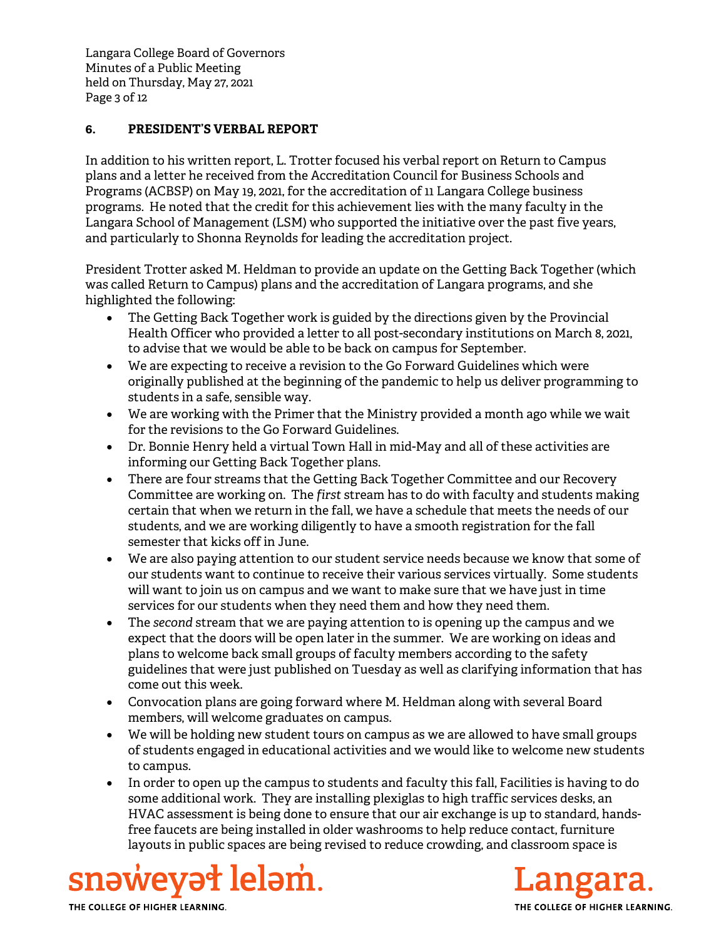Langara College Board of Governors Minutes of a Public Meeting held on Thursday, May 27, 2021 Page 3 of 12

## **6. PRESIDENT'S VERBAL REPORT**

In addition to his written report, L. Trotter focused his verbal report on Return to Campus plans and a letter he received from the Accreditation Council for Business Schools and Programs (ACBSP) on May 19, 2021, for the accreditation of 11 Langara College business programs. He noted that the credit for this achievement lies with the many faculty in the Langara School of Management (LSM) who supported the initiative over the past five years, and particularly to Shonna Reynolds for leading the accreditation project.

President Trotter asked M. Heldman to provide an update on the Getting Back Together (which was called Return to Campus) plans and the accreditation of Langara programs, and she highlighted the following:

- The Getting Back Together work is guided by the directions given by the Provincial Health Officer who provided a letter to all post-secondary institutions on March 8, 2021, to advise that we would be able to be back on campus for September.
- We are expecting to receive a revision to the Go Forward Guidelines which were originally published at the beginning of the pandemic to help us deliver programming to students in a safe, sensible way.
- We are working with the Primer that the Ministry provided a month ago while we wait for the revisions to the Go Forward Guidelines.
- Dr. Bonnie Henry held a virtual Town Hall in mid-May and all of these activities are informing our Getting Back Together plans.
- There are four streams that the Getting Back Together Committee and our Recovery Committee are working on. The *first* stream has to do with faculty and students making certain that when we return in the fall, we have a schedule that meets the needs of our students, and we are working diligently to have a smooth registration for the fall semester that kicks off in June.
- We are also paying attention to our student service needs because we know that some of our students want to continue to receive their various services virtually. Some students will want to join us on campus and we want to make sure that we have just in time services for our students when they need them and how they need them.
- The *second* stream that we are paying attention to is opening up the campus and we expect that the doors will be open later in the summer. We are working on ideas and plans to welcome back small groups of faculty members according to the safety guidelines that were just published on Tuesday as well as clarifying information that has come out this week.
- Convocation plans are going forward where M. Heldman along with several Board members, will welcome graduates on campus.
- We will be holding new student tours on campus as we are allowed to have small groups of students engaged in educational activities and we would like to welcome new students to campus.
- In order to open up the campus to students and faculty this fall, Facilities is having to do some additional work. They are installing plexiglas to high traffic services desks, an HVAC assessment is being done to ensure that our air exchange is up to standard, handsfree faucets are being installed in older washrooms to help reduce contact, furniture layouts in public spaces are being revised to reduce crowding, and classroom space is



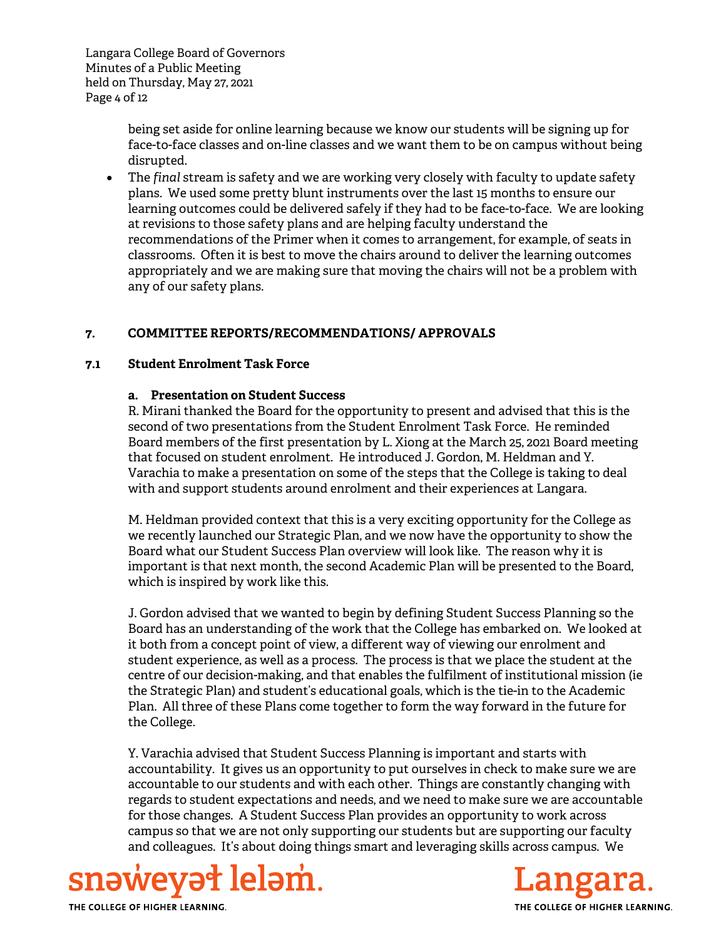Langara College Board of Governors Minutes of a Public Meeting held on Thursday, May 27, 2021 Page 4 of 12

> being set aside for online learning because we know our students will be signing up for face-to-face classes and on-line classes and we want them to be on campus without being disrupted.

 The *final* stream is safety and we are working very closely with faculty to update safety plans. We used some pretty blunt instruments over the last 15 months to ensure our learning outcomes could be delivered safely if they had to be face-to-face. We are looking at revisions to those safety plans and are helping faculty understand the recommendations of the Primer when it comes to arrangement, for example, of seats in classrooms. Often it is best to move the chairs around to deliver the learning outcomes appropriately and we are making sure that moving the chairs will not be a problem with any of our safety plans.

## **7. COMMITTEE REPORTS/RECOMMENDATIONS/ APPROVALS**

#### **7.1 Student Enrolment Task Force**

## **a. Presentation on Student Success**

 R. Mirani thanked the Board for the opportunity to present and advised that this is the second of two presentations from the Student Enrolment Task Force. He reminded Board members of the first presentation by L. Xiong at the March 25, 2021 Board meeting that focused on student enrolment. He introduced J. Gordon, M. Heldman and Y. Varachia to make a presentation on some of the steps that the College is taking to deal with and support students around enrolment and their experiences at Langara.

M. Heldman provided context that this is a very exciting opportunity for the College as we recently launched our Strategic Plan, and we now have the opportunity to show the Board what our Student Success Plan overview will look like. The reason why it is important is that next month, the second Academic Plan will be presented to the Board, which is inspired by work like this.

J. Gordon advised that we wanted to begin by defining Student Success Planning so the Board has an understanding of the work that the College has embarked on. We looked at it both from a concept point of view, a different way of viewing our enrolment and student experience, as well as a process. The process is that we place the student at the centre of our decision-making, and that enables the fulfilment of institutional mission (ie the Strategic Plan) and student's educational goals, which is the tie-in to the Academic Plan. All three of these Plans come together to form the way forward in the future for the College.

Y. Varachia advised that Student Success Planning is important and starts with accountability. It gives us an opportunity to put ourselves in check to make sure we are accountable to our students and with each other. Things are constantly changing with regards to student expectations and needs, and we need to make sure we are accountable for those changes. A Student Success Plan provides an opportunity to work across campus so that we are not only supporting our students but are supporting our faculty and colleagues. It's about doing things smart and leveraging skills across campus. We



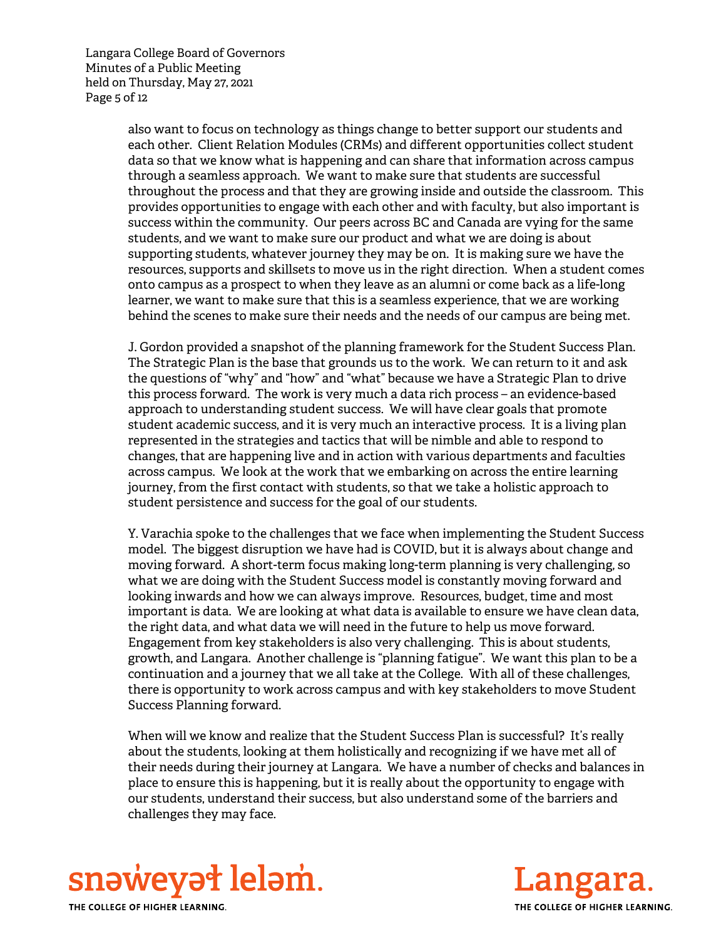Langara College Board of Governors Minutes of a Public Meeting held on Thursday, May 27, 2021 Page 5 of 12

> also want to focus on technology as things change to better support our students and each other. Client Relation Modules (CRMs) and different opportunities collect student data so that we know what is happening and can share that information across campus through a seamless approach. We want to make sure that students are successful throughout the process and that they are growing inside and outside the classroom. This provides opportunities to engage with each other and with faculty, but also important is success within the community. Our peers across BC and Canada are vying for the same students, and we want to make sure our product and what we are doing is about supporting students, whatever journey they may be on. It is making sure we have the resources, supports and skillsets to move us in the right direction. When a student comes onto campus as a prospect to when they leave as an alumni or come back as a life-long learner, we want to make sure that this is a seamless experience, that we are working behind the scenes to make sure their needs and the needs of our campus are being met.

J. Gordon provided a snapshot of the planning framework for the Student Success Plan. The Strategic Plan is the base that grounds us to the work. We can return to it and ask the questions of "why" and "how" and "what" because we have a Strategic Plan to drive this process forward. The work is very much a data rich process – an evidence-based approach to understanding student success. We will have clear goals that promote student academic success, and it is very much an interactive process. It is a living plan represented in the strategies and tactics that will be nimble and able to respond to changes, that are happening live and in action with various departments and faculties across campus. We look at the work that we embarking on across the entire learning journey, from the first contact with students, so that we take a holistic approach to student persistence and success for the goal of our students.

Y. Varachia spoke to the challenges that we face when implementing the Student Success model. The biggest disruption we have had is COVID, but it is always about change and moving forward. A short-term focus making long-term planning is very challenging, so what we are doing with the Student Success model is constantly moving forward and looking inwards and how we can always improve. Resources, budget, time and most important is data. We are looking at what data is available to ensure we have clean data, the right data, and what data we will need in the future to help us move forward. Engagement from key stakeholders is also very challenging. This is about students, growth, and Langara. Another challenge is "planning fatigue". We want this plan to be a continuation and a journey that we all take at the College. With all of these challenges, there is opportunity to work across campus and with key stakeholders to move Student Success Planning forward.

When will we know and realize that the Student Success Plan is successful? It's really about the students, looking at them holistically and recognizing if we have met all of their needs during their journey at Langara. We have a number of checks and balances in place to ensure this is happening, but it is really about the opportunity to engage with our students, understand their success, but also understand some of the barriers and challenges they may face.



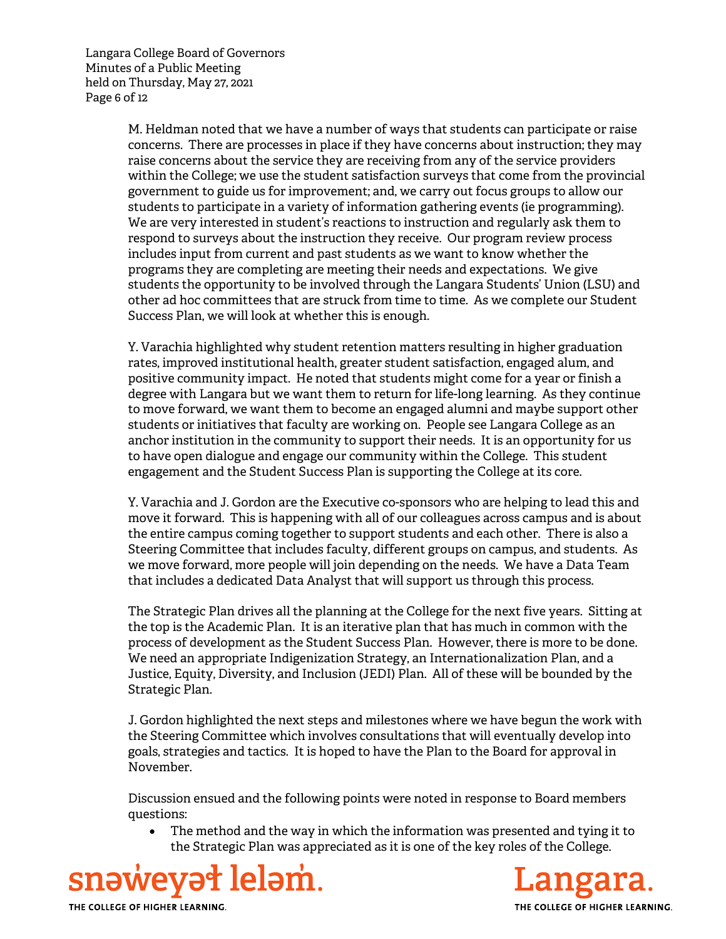Langara College Board of Governors Minutes of a Public Meeting held on Thursday, May 27, 2021 Page 6 of 12

> M. Heldman noted that we have a number of ways that students can participate or raise concerns. There are processes in place if they have concerns about instruction; they may raise concerns about the service they are receiving from any of the service providers within the College; we use the student satisfaction surveys that come from the provincial government to guide us for improvement; and, we carry out focus groups to allow our students to participate in a variety of information gathering events (ie programming). We are very interested in student's reactions to instruction and regularly ask them to respond to surveys about the instruction they receive. Our program review process includes input from current and past students as we want to know whether the programs they are completing are meeting their needs and expectations. We give students the opportunity to be involved through the Langara Students' Union (LSU) and other ad hoc committees that are struck from time to time. As we complete our Student Success Plan, we will look at whether this is enough.

> Y. Varachia highlighted why student retention matters resulting in higher graduation rates, improved institutional health, greater student satisfaction, engaged alum, and positive community impact. He noted that students might come for a year or finish a degree with Langara but we want them to return for life-long learning. As they continue to move forward, we want them to become an engaged alumni and maybe support other students or initiatives that faculty are working on. People see Langara College as an anchor institution in the community to support their needs. It is an opportunity for us to have open dialogue and engage our community within the College. This student engagement and the Student Success Plan is supporting the College at its core.

> Y. Varachia and J. Gordon are the Executive co-sponsors who are helping to lead this and move it forward. This is happening with all of our colleagues across campus and is about the entire campus coming together to support students and each other. There is also a Steering Committee that includes faculty, different groups on campus, and students. As we move forward, more people will join depending on the needs. We have a Data Team that includes a dedicated Data Analyst that will support us through this process.

> The Strategic Plan drives all the planning at the College for the next five years. Sitting at the top is the Academic Plan. It is an iterative plan that has much in common with the process of development as the Student Success Plan. However, there is more to be done. We need an appropriate Indigenization Strategy, an Internationalization Plan, and a Justice, Equity, Diversity, and Inclusion (JEDI) Plan. All of these will be bounded by the Strategic Plan.

> J. Gordon highlighted the next steps and milestones where we have begun the work with the Steering Committee which involves consultations that will eventually develop into goals, strategies and tactics. It is hoped to have the Plan to the Board for approval in November.

Discussion ensued and the following points were noted in response to Board members questions:

 The method and the way in which the information was presented and tying it to the Strategic Plan was appreciated as it is one of the key roles of the College.



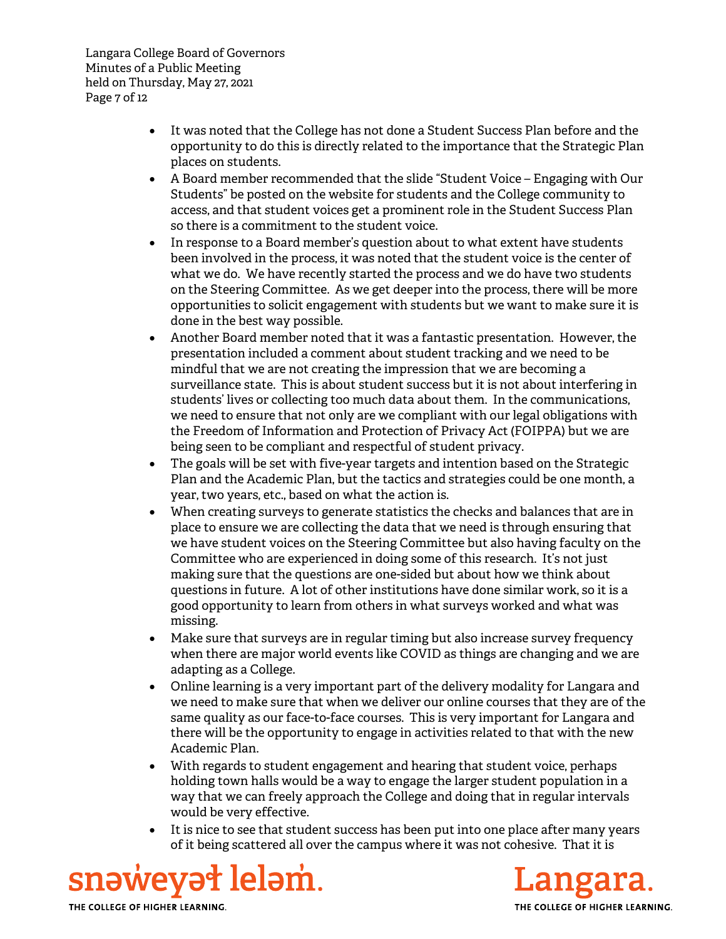Langara College Board of Governors Minutes of a Public Meeting held on Thursday, May 27, 2021 Page 7 of 12

- It was noted that the College has not done a Student Success Plan before and the opportunity to do this is directly related to the importance that the Strategic Plan places on students.
- A Board member recommended that the slide "Student Voice Engaging with Our Students" be posted on the website for students and the College community to access, and that student voices get a prominent role in the Student Success Plan so there is a commitment to the student voice.
- In response to a Board member's question about to what extent have students been involved in the process, it was noted that the student voice is the center of what we do. We have recently started the process and we do have two students on the Steering Committee. As we get deeper into the process, there will be more opportunities to solicit engagement with students but we want to make sure it is done in the best way possible.
- Another Board member noted that it was a fantastic presentation. However, the presentation included a comment about student tracking and we need to be mindful that we are not creating the impression that we are becoming a surveillance state. This is about student success but it is not about interfering in students' lives or collecting too much data about them. In the communications, we need to ensure that not only are we compliant with our legal obligations with the Freedom of Information and Protection of Privacy Act (FOIPPA) but we are being seen to be compliant and respectful of student privacy.
- The goals will be set with five-year targets and intention based on the Strategic Plan and the Academic Plan, but the tactics and strategies could be one month, a year, two years, etc., based on what the action is.
- When creating surveys to generate statistics the checks and balances that are in place to ensure we are collecting the data that we need is through ensuring that we have student voices on the Steering Committee but also having faculty on the Committee who are experienced in doing some of this research. It's not just making sure that the questions are one-sided but about how we think about questions in future. A lot of other institutions have done similar work, so it is a good opportunity to learn from others in what surveys worked and what was missing.
- Make sure that surveys are in regular timing but also increase survey frequency when there are major world events like COVID as things are changing and we are adapting as a College.
- Online learning is a very important part of the delivery modality for Langara and we need to make sure that when we deliver our online courses that they are of the same quality as our face-to-face courses. This is very important for Langara and there will be the opportunity to engage in activities related to that with the new Academic Plan.
- With regards to student engagement and hearing that student voice, perhaps holding town halls would be a way to engage the larger student population in a way that we can freely approach the College and doing that in regular intervals would be very effective.
- It is nice to see that student success has been put into one place after many years of it being scattered all over the campus where it was not cohesive. That it is



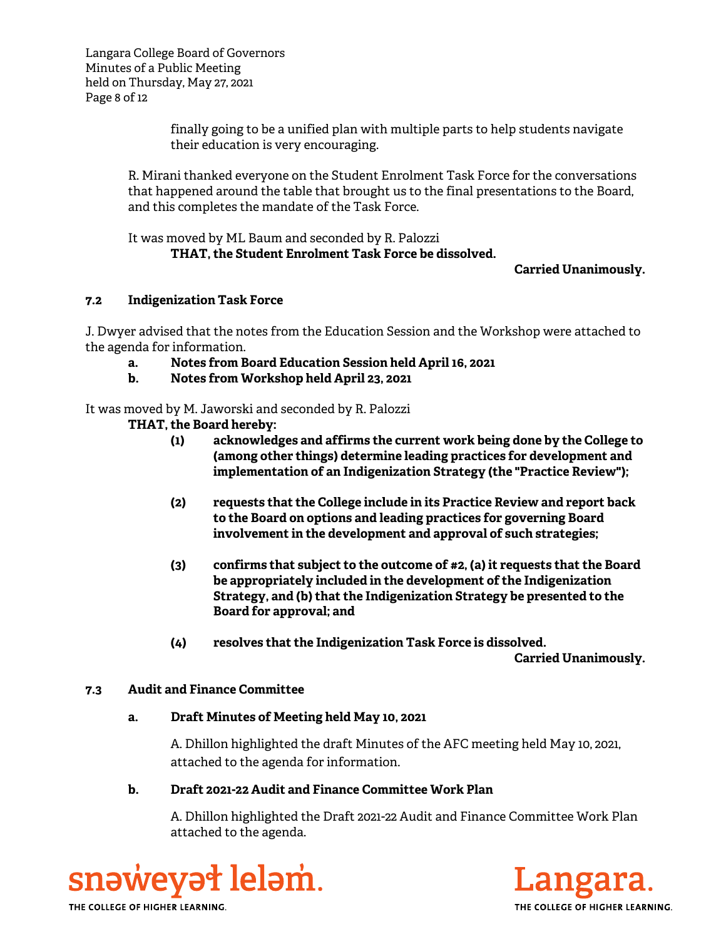Langara College Board of Governors Minutes of a Public Meeting held on Thursday, May 27, 2021 Page 8 of 12

> finally going to be a unified plan with multiple parts to help students navigate their education is very encouraging.

R. Mirani thanked everyone on the Student Enrolment Task Force for the conversations that happened around the table that brought us to the final presentations to the Board, and this completes the mandate of the Task Force.

It was moved by ML Baum and seconded by R. Palozzi

# **THAT, the Student Enrolment Task Force be dissolved.**

## **Carried Unanimously.**

## **7.2 Indigenization Task Force**

J. Dwyer advised that the notes from the Education Session and the Workshop were attached to the agenda for information.

- **a. Notes from Board Education Session held April 16, 2021**
- **b. Notes from Workshop held April 23, 2021**

It was moved by M. Jaworski and seconded by R. Palozzi

- **THAT, the Board hereby:** 
	- **(1) acknowledges and affirms the current work being done by the College to (among other things) determine leading practices for development and implementation of an Indigenization Strategy (the "Practice Review");**
	- **(2) requests that the College include in its Practice Review and report back to the Board on options and leading practices for governing Board involvement in the development and approval of such strategies;**
	- **(3) confirms that subject to the outcome of #2, (a) it requests that the Board be appropriately included in the development of the Indigenization Strategy, and (b) that the Indigenization Strategy be presented to the Board for approval; and**
	- **(4) resolves that the Indigenization Task Force is dissolved.**

**Carried Unanimously.** 

## **7.3 Audit and Finance Committee**

## **a. Draft Minutes of Meeting held May 10, 2021**

A. Dhillon highlighted the draft Minutes of the AFC meeting held May 10, 2021, attached to the agenda for information.

## **b. Draft 2021-22 Audit and Finance Committee Work Plan**

A. Dhillon highlighted the Draft 2021-22 Audit and Finance Committee Work Plan attached to the agenda.

snəweyət leləm. THE COLLEGE OF HIGHER LEARNING.

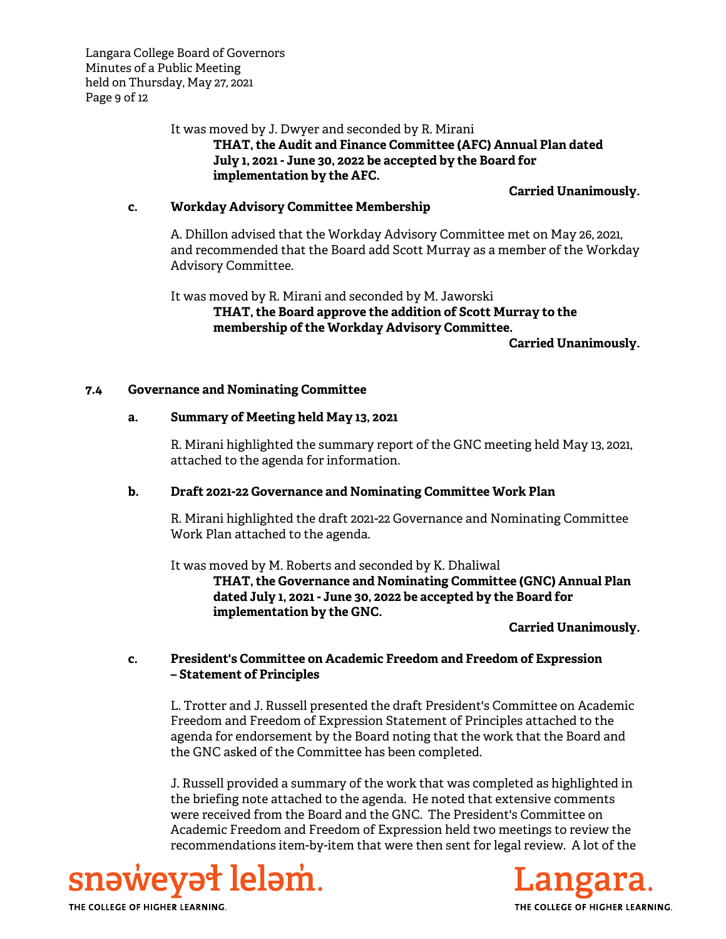Langara College Board of Governors Minutes of a Public Meeting held on Thursday, May 27, 2021 Page 9 of 12

#### It was moved by J. Dwyer and seconded by R. Mirani

 **THAT, the Audit and Finance Committee (AFC) Annual Plan dated July 1, 2021 - June 30, 2022 be accepted by the Board for implementation by the AFC.** 

#### **Carried Unanimously.**

#### **c. Workday Advisory Committee Membership**

A. Dhillon advised that the Workday Advisory Committee met on May 26, 2021, and recommended that the Board add Scott Murray as a member of the Workday Advisory Committee.

It was moved by R. Mirani and seconded by M. Jaworski **THAT, the Board approve the addition of Scott Murray to the membership of the Workday Advisory Committee. Carried Unanimously.** 

#### **7.4 Governance and Nominating Committee**

#### **a. Summary of Meeting held May 13, 2021**

R. Mirani highlighted the summary report of the GNC meeting held May 13, 2021, attached to the agenda for information.

#### **b. Draft 2021-22 Governance and Nominating Committee Work Plan**

R. Mirani highlighted the draft 2021-22 Governance and Nominating Committee Work Plan attached to the agenda.

It was moved by M. Roberts and seconded by K. Dhaliwal **THAT, the Governance and Nominating Committee (GNC) Annual Plan dated July 1, 2021 - June 30, 2022 be accepted by the Board for implementation by the GNC.** 

#### **Carried Unanimously.**

## **c. President's Committee on Academic Freedom and Freedom of Expression – Statement of Principles**

L. Trotter and J. Russell presented the draft President's Committee on Academic Freedom and Freedom of Expression Statement of Principles attached to the agenda for endorsement by the Board noting that the work that the Board and the GNC asked of the Committee has been completed.

J. Russell provided a summary of the work that was completed as highlighted in the briefing note attached to the agenda. He noted that extensive comments were received from the Board and the GNC. The President's Committee on Academic Freedom and Freedom of Expression held two meetings to review the recommendations item-by-item that were then sent for legal review. A lot of the



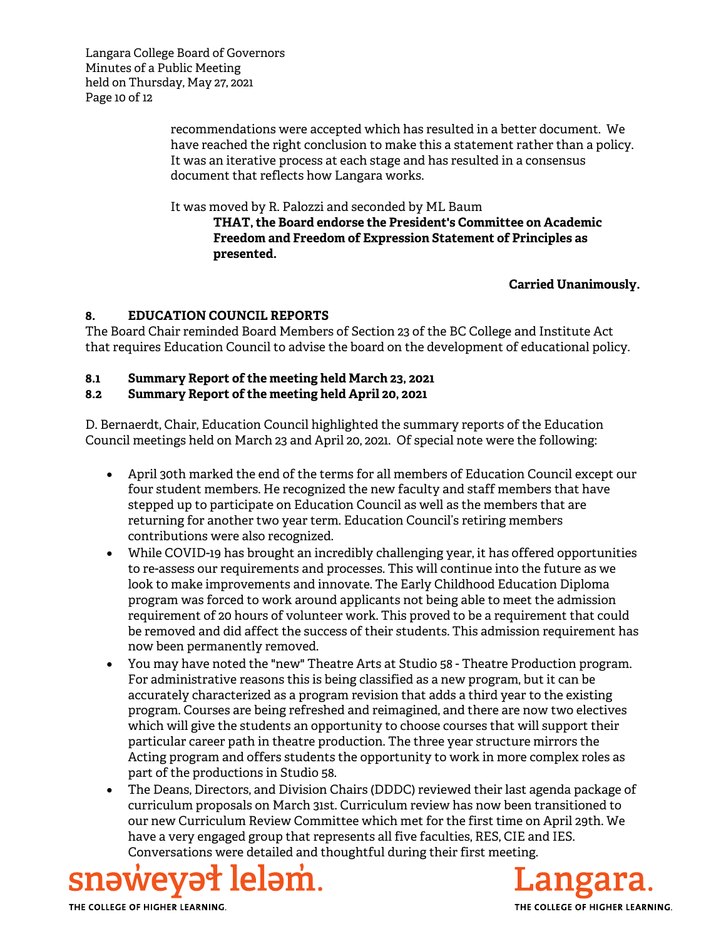Langara College Board of Governors Minutes of a Public Meeting held on Thursday, May 27, 2021 Page 10 of 12

> recommendations were accepted which has resulted in a better document. We have reached the right conclusion to make this a statement rather than a policy. It was an iterative process at each stage and has resulted in a consensus document that reflects how Langara works.

It was moved by R. Palozzi and seconded by ML Baum

**THAT, the Board endorse the President's Committee on Academic Freedom and Freedom of Expression Statement of Principles as presented.** 

## **Carried Unanimously.**

## **8. EDUCATION COUNCIL REPORTS**

The Board Chair reminded Board Members of Section 23 of the BC College and Institute Act that requires Education Council to advise the board on the development of educational policy.

## **8.1 Summary Report of the meeting held March 23, 2021**

## **8.2 Summary Report of the meeting held April 20, 2021**

D. Bernaerdt, Chair, Education Council highlighted the summary reports of the Education Council meetings held on March 23 and April 20, 2021. Of special note were the following:

- April 30th marked the end of the terms for all members of Education Council except our four student members. He recognized the new faculty and staff members that have stepped up to participate on Education Council as well as the members that are returning for another two year term. Education Council's retiring members contributions were also recognized.
- While COVID-19 has brought an incredibly challenging year, it has offered opportunities to re-assess our requirements and processes. This will continue into the future as we look to make improvements and innovate. The Early Childhood Education Diploma program was forced to work around applicants not being able to meet the admission requirement of 20 hours of volunteer work. This proved to be a requirement that could be removed and did affect the success of their students. This admission requirement has now been permanently removed.
- You may have noted the "new" Theatre Arts at Studio 58 Theatre Production program. For administrative reasons this is being classified as a new program, but it can be accurately characterized as a program revision that adds a third year to the existing program. Courses are being refreshed and reimagined, and there are now two electives which will give the students an opportunity to choose courses that will support their particular career path in theatre production. The three year structure mirrors the Acting program and offers students the opportunity to work in more complex roles as part of the productions in Studio 58.
- The Deans, Directors, and Division Chairs (DDDC) reviewed their last agenda package of curriculum proposals on March 31st. Curriculum review has now been transitioned to our new Curriculum Review Committee which met for the first time on April 29th. We have a very engaged group that represents all five faculties, RES, CIE and IES. Conversations were detailed and thoughtful during their first meeting.



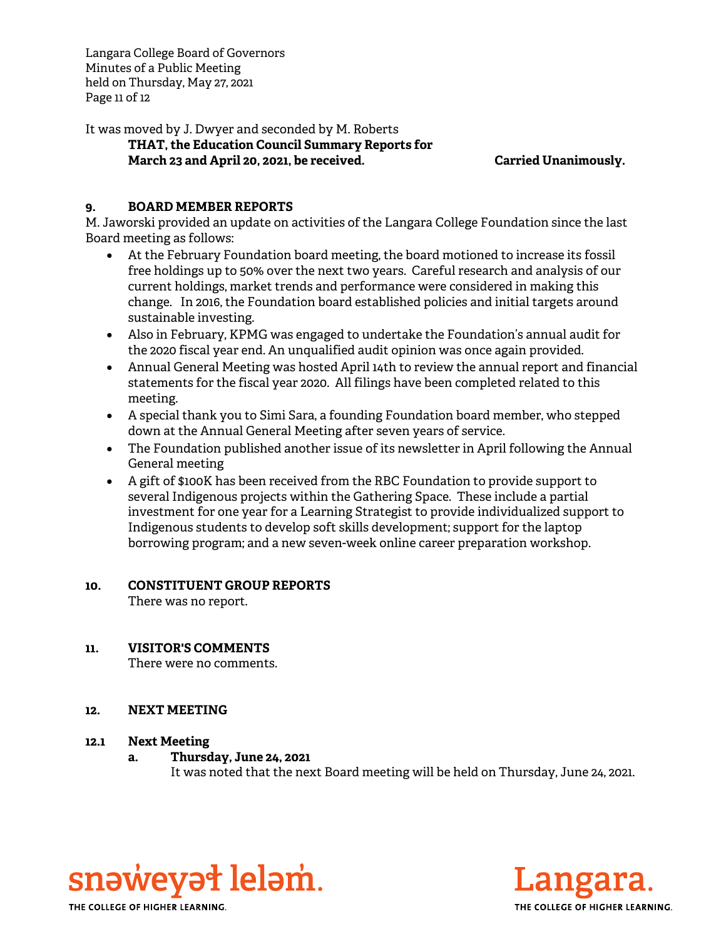Langara College Board of Governors Minutes of a Public Meeting held on Thursday, May 27, 2021 Page 11 of 12

It was moved by J. Dwyer and seconded by M. Roberts

## **THAT, the Education Council Summary Reports for March 23 and April 20, 2021, be received. Carried Unanimously.**

# **9. BOARD MEMBER REPORTS**

M. Jaworski provided an update on activities of the Langara College Foundation since the last Board meeting as follows:

- At the February Foundation board meeting, the board motioned to increase its fossil free holdings up to 50% over the next two years. Careful research and analysis of our current holdings, market trends and performance were considered in making this change. In 2016, the Foundation board established policies and initial targets around sustainable investing.
- Also in February, KPMG was engaged to undertake the Foundation's annual audit for the 2020 fiscal year end. An unqualified audit opinion was once again provided.
- Annual General Meeting was hosted April 14th to review the annual report and financial statements for the fiscal year 2020. All filings have been completed related to this meeting.
- A special thank you to Simi Sara, a founding Foundation board member, who stepped down at the Annual General Meeting after seven years of service.
- The Foundation published another issue of its newsletter in April following the Annual General meeting
- A gift of \$100K has been received from the RBC Foundation to provide support to several Indigenous projects within the Gathering Space. These include a partial investment for one year for a Learning Strategist to provide individualized support to Indigenous students to develop soft skills development; support for the laptop borrowing program; and a new seven-week online career preparation workshop.

## **10. CONSTITUENT GROUP REPORTS**

There was no report.

# **11. VISITOR'S COMMENTS**

There were no comments.

## **12. NEXT MEETING**

## **12.1 Next Meeting**

## **a. Thursday, June 24, 2021**

It was noted that the next Board meeting will be held on Thursday, June 24, 2021.